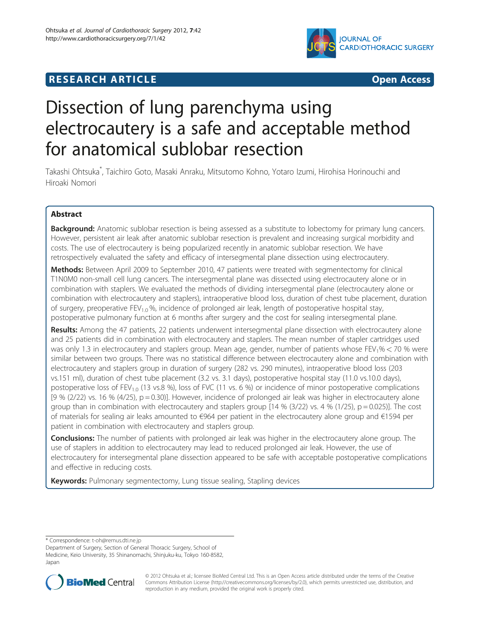# **RESEARCH ARTICLE Example 2008 CONSIDERING A RESEARCH ARTICLE**



# Dissection of lung parenchyma using electrocautery is a safe and acceptable method for anatomical sublobar resection

Takashi Ohtsuka\* , Taichiro Goto, Masaki Anraku, Mitsutomo Kohno, Yotaro Izumi, Hirohisa Horinouchi and Hiroaki Nomori

# Abstract

Background: Anatomic sublobar resection is being assessed as a substitute to lobectomy for primary lung cancers. However, persistent air leak after anatomic sublobar resection is prevalent and increasing surgical morbidity and costs. The use of electrocautery is being popularized recently in anatomic sublobar resection. We have retrospectively evaluated the safety and efficacy of intersegmental plane dissection using electrocautery.

Methods: Between April 2009 to September 2010, 47 patients were treated with segmentectomy for clinical T1N0M0 non-small cell lung cancers. The intersegmental plane was dissected using electrocautery alone or in combination with staplers. We evaluated the methods of dividing intersegmental plane (electrocautery alone or combination with electrocautery and staplers), intraoperative blood loss, duration of chest tube placement, duration of surgery, preoperative FEV<sub>1.0</sub>%, incidence of prolonged air leak, length of postoperative hospital stay, postoperative pulmonary function at 6 months after surgery and the cost for sealing intersegmental plane.

Results: Among the 47 patients, 22 patients underwent intersegmental plane dissection with electrocautery alone and 25 patients did in combination with electrocautery and staplers. The mean number of stapler cartridges used was only 1.3 in electrocautery and staplers group. Mean age, gender, number of patients whose  $FEV_1% < 70$  % were similar between two groups. There was no statistical difference between electrocautery alone and combination with electrocautery and staplers group in duration of surgery (282 vs. 290 minutes), intraoperative blood loss (203 vs.151 ml), duration of chest tube placement (3.2 vs. 3.1 days), postoperative hospital stay (11.0 vs.10.0 days), postoperative loss of FEV<sub>10</sub> (13 vs.8 %), loss of FVC (11 vs. 6 %) or incidence of minor postoperative complications  $[9 \% (2/22)$  vs. 16 %  $(4/25)$ ,  $p = 0.30$ ]. However, incidence of prolonged air leak was higher in electrocautery alone group than in combination with electrocautery and staplers group  $[14, 96]$  (3/22) vs. 4 % (1/25), p = 0.025)]. The cost of materials for sealing air leaks amounted to €964 per patient in the electrocautery alone group and €1594 per patient in combination with electrocautery and staplers group.

**Conclusions:** The number of patients with prolonged air leak was higher in the electrocautery alone group. The use of staplers in addition to electrocautery may lead to reduced prolonged air leak. However, the use of electrocautery for intersegmental plane dissection appeared to be safe with acceptable postoperative complications and effective in reducing costs.

Keywords: Pulmonary segmentectomy, Lung tissue sealing, Stapling devices

\* Correspondence: [t-oh@remus.dti.ne.jp](mailto:t-oh@remus.dti.ne.jp)

Department of Surgery, Section of General Thoracic Surgery, School of Medicine, Keio University, 35 Shinanomachi, Shinjuku-ku, Tokyo 160-8582, Japan



© 2012 Ohtsuka et al.; licensee BioMed Central Ltd. This is an Open Access article distributed under the terms of the Creative Commons Attribution License (http://creativecommons.org/licenses/by/2.0), which permits unrestricted use, distribution, and reproduction in any medium, provided the original work is properly cited.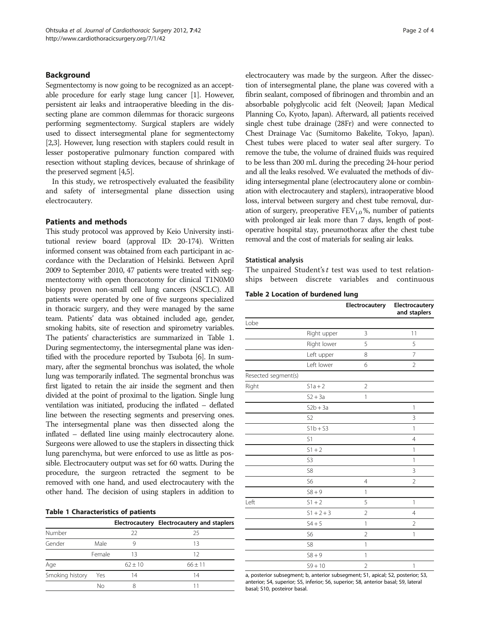## <span id="page-1-0"></span>Background

Segmentectomy is now going to be recognized as an acceptable procedure for early stage lung cancer [[1](#page-3-0)]. However, persistent air leaks and intraoperative bleeding in the dissecting plane are common dilemmas for thoracic surgeons performing segmentectomy. Surgical staplers are widely used to dissect intersegmental plane for segmentectomy [[2,3](#page-3-0)]. However, lung resection with staplers could result in lesser postoperative pulmonary function compared with resection without stapling devices, because of shrinkage of the preserved segment [\[4,5\]](#page-3-0).

In this study, we retrospectively evaluated the feasibility and safety of intersegmental plane dissection using electrocautery.

### Patients and methods

This study protocol was approved by Keio University institutional review board (approval ID: 20-174). Written informed consent was obtained from each participant in accordance with the Declaration of Helsinki. Between April 2009 to September 2010, 47 patients were treated with segmentectomy with open thoracotomy for clinical T1N0M0 biopsy proven non-small cell lung cancers (NSCLC). All patients were operated by one of five surgeons specialized in thoracic surgery, and they were managed by the same team. Patients' data was obtained included age, gender, smoking habits, site of resection and spirometry variables. The patients' characteristics are summarized in Table 1. During segmentectomy, the intersegmental plane was identified with the procedure reported by Tsubota [[6](#page-3-0)]. In summary, after the segmental bronchus was isolated, the whole lung was temporarily inflated. The segmental bronchus was first ligated to retain the air inside the segment and then divided at the point of proximal to the ligation. Single lung ventilation was initiated, producing the inflated – deflated line between the resecting segments and preserving ones. The intersegmental plane was then dissected along the inflated – deflated line using mainly electrocautery alone. Surgeons were allowed to use the staplers in dissecting thick lung parenchyma, but were enforced to use as little as possible. Electrocautery output was set for 60 watts. During the procedure, the surgeon retracted the segment to be removed with one hand, and used electrocautery with the other hand. The decision of using staplers in addition to

|  |  | <b>Table 1 Characteristics of patients</b> |  |  |
|--|--|--------------------------------------------|--|--|
|--|--|--------------------------------------------|--|--|

|                 |        |           | Electrocautery Electrocautery and staplers |
|-----------------|--------|-----------|--------------------------------------------|
| Number          |        | 22        | 25                                         |
| Gender          | Male   | q         | 13                                         |
|                 | Female | 13        | 12                                         |
| Age             |        | $62 + 10$ | $66 \pm 11$                                |
| Smoking history | Yes    | 14        | 14                                         |
|                 | Nο     |           |                                            |

electrocautery was made by the surgeon. After the dissection of intersegmental plane, the plane was covered with a fibrin sealant, composed of fibrinogen and thrombin and an absorbable polyglycolic acid felt (Neoveil; Japan Medical Planning Co, Kyoto, Japan). Afterward, all patients received single chest tube drainage (28Fr) and were connected to Chest Drainage Vac (Sumitomo Bakelite, Tokyo, Japan). Chest tubes were placed to water seal after surgery. To remove the tube, the volume of drained fluids was required to be less than 200 mL during the preceding 24-hour period and all the leaks resolved. We evaluated the methods of dividing intersegmental plane (electrocautery alone or combination with electrocautery and staplers), intraoperative blood loss, interval between surgery and chest tube removal, duration of surgery, preoperative  $FEV<sub>1.0</sub>$ %, number of patients with prolonged air leak more than 7 days, length of postoperative hospital stay, pneumothorax after the chest tube removal and the cost of materials for sealing air leaks.

#### Statistical analysis

The unpaired Student's  $t$  test was used to test relationships between discrete variables and continuous

Table 2 Location of burdened lung

|                     |                | Electrocautery | Electrocautery<br>and staplers |
|---------------------|----------------|----------------|--------------------------------|
| Lobe                |                |                |                                |
|                     | Right upper    | 3              | 11                             |
|                     | Right lower    | 5              | 5                              |
|                     | Left upper     | 8              | 7                              |
|                     | Left lower     | 6              | $\overline{2}$                 |
| Resected segment(s) |                |                |                                |
| Right               | $S1a + 2$      | $\overline{2}$ |                                |
|                     | $S2 + 3a$      | 1              |                                |
|                     | $S2b + 3a$     |                | 1                              |
|                     | S <sub>2</sub> |                | 3                              |
|                     | $S1b + S3$     |                | 1                              |
|                     | S1             |                | $\overline{4}$                 |
|                     | $S1 + 2$       |                | 1                              |
|                     | S <sub>3</sub> |                | $\mathbf{1}$                   |
|                     | S8             |                | $\overline{3}$                 |
|                     | S6             | $\overline{4}$ | $\overline{2}$                 |
|                     | $S8 + 9$       | 1              |                                |
| Left                | $S1 + 2$       | 5              | $\mathbf{1}$                   |
|                     | $51 + 2 + 3$   | $\overline{2}$ | $\overline{4}$                 |
|                     | $S4 + 5$       | 1              | $\overline{2}$                 |
|                     | S <sub>6</sub> | $\overline{2}$ | 1                              |
|                     | S8             | 1              |                                |
|                     | $58 + 9$       | 1              |                                |
|                     | $S9 + 10$      | $\overline{2}$ | $\mathbf{1}$                   |

a, posterior subsegment; b, anterior subsegment; S1, apical; S2, posterior; S3, anterior; S4, superior; S5, inferior; S6, superior; S8, anterior basal; S9, lateral basal; S10, posteiror basal.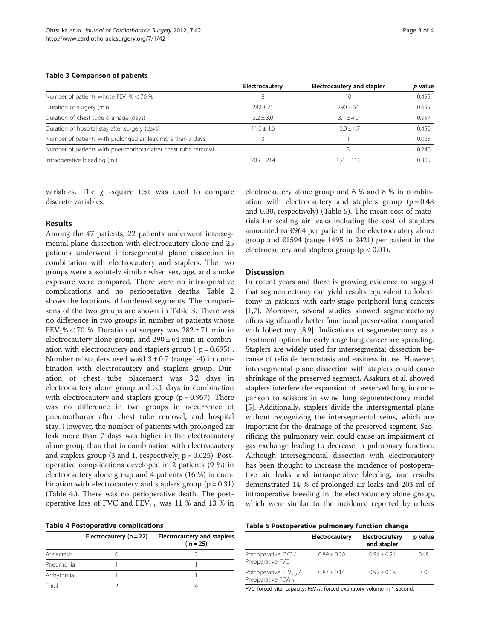#### Table 3 Comparison of patients

|                                                               | Electrocautery | <b>Electrocautery and stapler</b> | p value |
|---------------------------------------------------------------|----------------|-----------------------------------|---------|
| Number of patients whose FEV1% < 70 %                         |                | 10                                | 0.495   |
| Duration of surgery (min)                                     | $787 + 71$     | $790 + 64$                        | 0.695   |
| Duration of chest tube drainage (days)                        | $3.2 + 3.0$    | $3.1 + 4.0$                       | 0.957   |
| Duration of hospital stay after surgery (days)                | $11.0 + 4.6$   | $10.0 + 4.7$                      | 0.450   |
| Number of patients with prolonged air leak more than 7 days   |                |                                   | 0.025   |
| Number of patients with pneumothorax after chest tube removal |                |                                   | 0.240   |
| Intraoperative bleeding (ml)                                  | $203 + 214$    | $151 + 116$                       | 0.305   |

variables. The  $\chi$  -square test was used to compare discrete variables.

#### Results

Among the 47 patients, 22 patients underwent intersegmental plane dissection with electrocautery alone and 25 patients underwent intersegmental plane dissection in combination with electrocautery and staplers. The two groups were absolutely similar when sex, age, and smoke exposure were compared. There were no intraoperative complications and no perioperative deaths. Table [2](#page-1-0) shows the locations of burdened segments. The comparisons of the two groups are shown in Table 3. There was no difference in two groups in number of patients whose  $FEV<sub>1</sub>% < 70$  %. Duration of surgery was  $282 \pm 71$  min in electrocautery alone group, and  $290 \pm 64$  min in combination with electrocautery and staplers group ( $p = 0.695$ ). Number of staplers used was1.3  $\pm$  0.7 (range1-4) in combination with electrocautery and staplers group. Duration of chest tube placement was 3.2 days in electrocautery alone group and 3.1 days in combination with electrocautery and staplers group ( $p = 0.957$ ). There was no difference in two groups in occurrence of pneumothorax after chest tube removal, and hospital stay. However, the number of patients with prolonged air leak more than 7 days was higher in the electrocautery alone group than that in combination with electrocautery and staplers group  $(3 \text{ and } 1, \text{ respectively}, \text{p} = 0.025)$ . Postoperative complications developed in 2 patients (9 %) in electrocautery alone group and 4 patients (16 %) in combination with electrocautery and staplers group  $(p = 0.31)$ (Table 4.). There was no perioperative death. The postoperative loss of FVC and  $FEV_{1.0}$  was 11 % and 13 % in

|  |  |  | <b>Table 4 Postoperative complications</b> |  |  |
|--|--|--|--------------------------------------------|--|--|
|--|--|--|--------------------------------------------|--|--|

|             | Electrocautery $(n = 22)$ | <b>Electrocautery and staplers</b><br>$(n = 25)$ |
|-------------|---------------------------|--------------------------------------------------|
| Atelectasis |                           |                                                  |
| Pneumonia   |                           |                                                  |
| Arrhythmia  |                           |                                                  |
| Total       |                           |                                                  |

electrocautery alone group and 6 % and 8 % in combination with electrocautery and staplers group  $(p = 0.48)$ and 0.30, respectively) (Table 5). The mean cost of materials for sealing air leaks including the cost of staplers amounted to €964 per patient in the electrocautery alone group and €1594 (range 1495 to 2421) per patient in the electrocautery and staplers group ( $p < 0.01$ ).

#### **Discussion**

In recent years and there is growing evidence to suggest that segmentectomy can yield results equivalent to lobectomy in patients with early stage peripheral lung cancers [[1,7](#page-3-0)]. Moreover, several studies showed segmentectomy offers significantly better functional preservation compared with lobectomy [[8,9](#page-3-0)]. Indications of segmentectomy as a treatment option for early stage lung cancer are spreading. Staplers are widely used for intersegmental dissection because of reliable hemostasis and easiness in use. However, intersegmental plane dissection with staplers could cause shrinkage of the preserved segment. Asakura et al. showed staplers interfere the expansion of preserved lung in comparison to scissors in swine lung segmentectomy model [[5\]](#page-3-0). Additionally, staplers divide the intersegmental plane without recognizing the intersegmental veins, which are important for the drainage of the preserved segment. Sacrificing the pulmonary vein could cause an impairment of gas exchange leading to decrease in pulmonary function. Although intersegmental dissection with electrocautery has been thought to increase the incidence of postoperative air leaks and intraoperative bleeding, our results demonstrated 14 % of prolonged air leaks and 203 ml of intraoperative bleeding in the electrocautery alone group, which were similar to the incidence reported by others

| Table 5 Postoperative pulmonary function change |  |  |  |
|-------------------------------------------------|--|--|--|
|-------------------------------------------------|--|--|--|

|                                                             | Electrocautery | Electrocautery<br>and stapler | p value |
|-------------------------------------------------------------|----------------|-------------------------------|---------|
| Postoperative FVC /<br>Preoperative FVC                     | $0.89 + 0.20$  | $0.94 + 0.21$                 | 0.48    |
| Postoperative $FEV_{10}/$<br>Preoperative FEV <sub>10</sub> | $0.87 + 0.14$  | $0.92 + 0.18$                 | 0.30    |
| .                                                           |                |                               |         |

FVC, forced vital capacity;  $FEV_{1,0}$ , forced expiratory volume in 1 second.